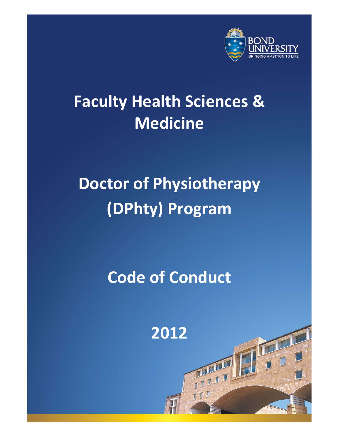

# **Faculty Health Sciences & Medicine**

# **Doctor of Physiotherapy (DPhty) Program**

# **Code of Conduct**

**2012**

而

 $\mathbf{I}$ 

Doctor of Physiotherapy (DPhty) Program Code of Conduct - May, 2011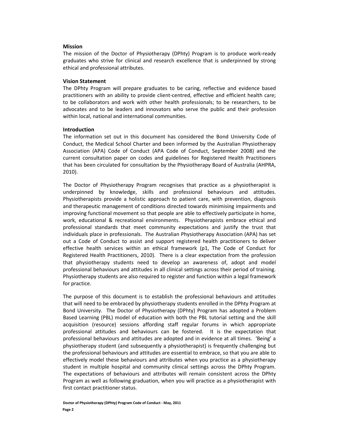#### **Mission**

The mission of the Doctor of Physiotherapy (DPhty) Program is to produce work-ready graduates who strive for clinical and research excellence that is underpinned by strong ethical and professional attributes.

#### **Vision Statement**

The DPhty Program will prepare graduates to be caring, reflective and evidence based practitioners with an ability to provide client-centred, effective and efficient health care; to be collaborators and work with other health professionals; to be researchers, to be advocates and to be leaders and innovators who serve the public and their profession within local, national and international communities.

#### **Introduction**

The information set out in this document has considered the Bond University Code of Conduct, the Medical School Charter and been informed by the Australian Physiotherapy Association (APA) Code of Conduct (APA Code of Conduct, September 2008) and the current consultation paper on codes and guidelines for Registered Health Practitioners that has been circulated for consultation by the Physiotherapy Board of Australia (AHPRA, 2010).

The Doctor of Physiotherapy Program recognises that practice as a physiotherapist is underpinned by knowledge, skills and professional behaviours and attitudes. Physiotherapists provide a holistic approach to patient care, with prevention, diagnosis and therapeutic management of conditions directed towards minimising impairments and improving functional movement so that people are able to effectively participate in home, work, educational & recreational environments. Physiotherapists embrace ethical and professional standards that meet community expectations and justify the trust that individuals place in professionals. The Australian Physiotherapy Association (APA) has set out a Code of Conduct to assist and support registered health practitioners to deliver effective health services within an ethical framework (p1, The Code of Conduct for Registered Health Practitioners, 2010). There is a clear expectation from the profession that physiotherapy students need to develop an awareness of, adopt and model professional behaviours and attitudes in all clinical settings across their period of training. Physiotherapy students are also required to register and function within a legal framework for practice.

The purpose of this document is to establish the professional behaviours and attitudes that will need to be embraced by physiotherapy students enrolled in the DPhty Program at Bond University. The Doctor of Physiotherapy (DPhty) Program has adopted a Problem Based Learning (PBL) model of education with both the PBL tutorial setting and the skill acquisition (resource) sessions affording staff regular forums in which appropriate professional attitudes and behaviours can be fostered. It is the expectation that professional behaviours and attitudes are adopted and in evidence at all times. 'Being' a physiotherapy student (and subsequently a physiotherapist) is frequently challenging but the professional behaviours and attitudes are essential to embrace, so that you are able to effectively model these behaviours and attributes when you practice as a physiotherapy student in multiple hospital and community clinical settings across the DPhty Program. The expectations of behaviours and attributes will remain consistent across the DPhty Program as well as following graduation, when you will practice as a physiotherapist with first contact practitioner status.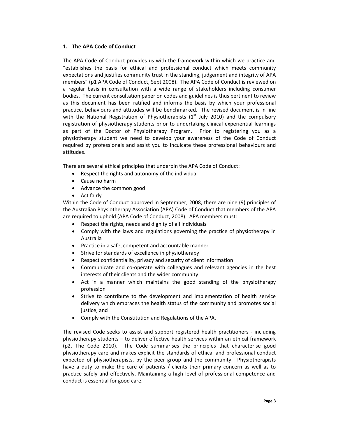# **1. The APA Code of Conduct**

The APA Code of Conduct provides us with the framework within which we practice and "establishes the basis for ethical and professional conduct which meets community expectations and justifies community trust in the standing, judgement and integrity of APA members" (p1 APA Code of Conduct, Sept 2008). The APA Code of Conduct is reviewed on a regular basis in consultation with a wide range of stakeholders including consumer bodies. The current consultation paper on codes and guidelines is thus pertinent to review as this document has been ratified and informs the basis by which your professional practice, behaviours and attitudes will be benchmarked. The revised document is in line with the National Registration of Physiotherapists  $(1<sup>st</sup>$  July 2010) and the compulsory registration of physiotherapy students prior to undertaking clinical experiential learnings as part of the Doctor of Physiotherapy Program. Prior to registering you as a physiotherapy student we need to develop your awareness of the Code of Conduct required by professionals and assist you to inculcate these professional behaviours and attitudes.

There are several ethical principles that underpin the APA Code of Conduct:

- $\bullet$  Respect the rights and autonomy of the individual
- Cause no harm
- Advance the common good
- Act fairly

Within the Code of Conduct approved in September, 2008, there are nine (9) principles of the Australian Physiotherapy Association (APA) Code of Conduct that members of the APA are required to uphold (APA Code of Conduct, 2008). APA members must:

- x Respect the rights, needs and dignity of all individuals
- Comply with the laws and regulations governing the practice of physiotherapy in Australia
- Practice in a safe, competent and accountable manner
- Strive for standards of excellence in physiotherapy
- Respect confidentiality, privacy and security of client information
- Communicate and co-operate with colleagues and relevant agencies in the best interests of their clients and the wider community
- Act in a manner which maintains the good standing of the physiotherapy profession
- x Strive to contribute to the development and implementation of health service delivery which embraces the health status of the community and promotes social justice, and
- Comply with the Constitution and Regulations of the APA.

The revised Code seeks to assist and support registered health practitioners - including physiotherapy students – to deliver effective health services within an ethical framework (p2, The Code 2010). The Code summarises the principles that characterise good physiotherapy care and makes explicit the standards of ethical and professional conduct expected of physiotherapists, by the peer group and the community. Physiotherapists have a duty to make the care of patients / clients their primary concern as well as to practice safely and effectively. Maintaining a high level of professional competence and conduct is essential for good care.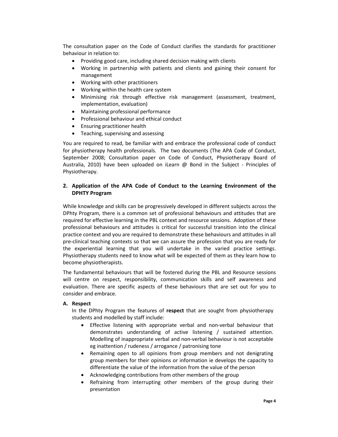The consultation paper on the Code of Conduct clarifies the standards for practitioner behaviour in relation to:

- Providing good care, including shared decision making with clients
- Working in partnership with patients and clients and gaining their consent for management
- Working with other practitioners
- x Working within the health care system
- Minimising risk through effective risk management (assessment, treatment, implementation, evaluation)
- Maintaining professional performance
- Professional behaviour and ethical conduct
- Ensuring practitioner health
- Teaching, supervising and assessing

You are required to read, be familiar with and embrace the professional code of conduct for physiotherapy health professionals. The two documents (The APA Code of Conduct, September 2008; Consultation paper on Code of Conduct, Physiotherapy Board of Australia, 2010) have been uploaded on iLearn @ Bond in the Subject - Principles of Physiotherapy.

# **2. Application of the APA Code of Conduct to the Learning Environment of the DPHTY Program**

While knowledge and skills can be progressively developed in different subjects across the DPhty Program, there is a common set of professional behaviours and attitudes that are required for effective learning in the PBL context and resource sessions. Adoption of these professional behaviours and attitudes is critical for successful transition into the clinical practice context and you are required to demonstrate these behaviours and attitudes in all pre-clinical teaching contexts so that we can assure the profession that you are ready for the experiential learning that you will undertake in the varied practice settings. Physiotherapy students need to know what will be expected of them as they learn how to become physiotherapists.

The fundamental behaviours that will be fostered during the PBL and Resource sessions will centre on respect, responsibility, communication skills and self awareness and evaluation. There are specific aspects of these behaviours that are set out for you to consider and embrace.

### **A. Respect**

In the DPhty Program the features of **respect** that are sought from physiotherapy students and modelled by staff include:

- Effective listening with appropriate verbal and non-verbal behaviour that demonstrates understanding of active listening / sustained attention. Modelling of inappropriate verbal and non-verbal behaviour is not acceptable eg inattention / rudeness / arrogance / patronising tone
- Remaining open to all opinions from group members and not denigrating group members for their opinions or information ie develops the capacity to differentiate the value of the information from the value of the person
- Acknowledging contributions from other members of the group
- Refraining from interrupting other members of the group during their presentation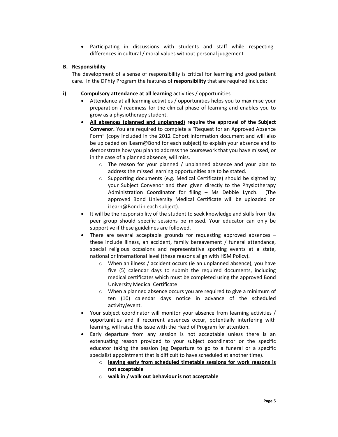• Participating in discussions with students and staff while respecting differences in cultural / moral values without personal judgement

### **B. Responsibility**

The development of a sense of responsibility is critical for learning and good patient care. In the DPhty Program the features of **responsibility** that are required include:

# **i) Compulsory attendance at all learning** activities / opportunities

- Attendance at all learning activities / opportunities helps you to maximise your preparation / readiness for the clinical phase of learning and enables you to grow as a physiotherapy student.
- x **All absences (planned and unplanned) require the approval of the Subject Convenor.** You are required to complete a "Request for an Approved Absence Form" (copy included in the 2012 Cohort information document and will also be uploaded on iLearn@Bond for each subject) to explain your absence and to demonstrate how you plan to address the coursework that you have missed, or in the case of a planned absence, will miss.
	- o The reason for your planned / unplanned absence and your plan to address the missed learning opportunities are to be stated.
	- o Supporting documents (e.g. Medical Certificate) should be sighted by your Subject Convenor and then given directly to the Physiotherapy Administration Coordinator for filing – Ms Debbie Lynch. (The approved Bond University Medical Certificate will be uploaded on iLearn@Bond in each subject).
- It will be the responsibility of the student to seek knowledge and skills from the peer group should specific sessions be missed. Your educator can only be supportive if these guidelines are followed.
- There are several acceptable grounds for requesting approved absences  $$ these include illness, an accident, family bereavement / funeral attendance, special religious occasions and representative sporting events at a state, national or international level (these reasons align with HSM Policy).
	- o When an illness / accident occurs (ie an unplanned absence), you have five (5) calendar days to submit the required documents, including medical certificates which must be completed using the approved Bond University Medical Certificate
	- o When a planned absence occurs you are required to give a minimum of ten (10) calendar days notice in advance of the scheduled activity/event.
- Your subject coordinator will monitor your absence from learning activities / opportunities and if recurrent absences occur, potentially interfering with learning, will raise this issue with the Head of Program for attention.
- Early departure from any session is not acceptable unless there is an extenuating reason provided to your subject coordinator or the specific educator taking the session (eg Departure to go to a funeral or a specific specialist appointment that is difficult to have scheduled at another time).
	- o **leaving early from scheduled timetable sessions for work reasons is not acceptable**
	- o **walk in / walk out behaviour is not acceptable**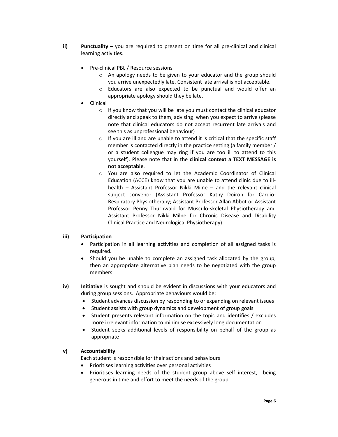- **ii)** Punctuality you are required to present on time for all pre-clinical and clinical learning activities.
	- Pre-clinical PBL / Resource sessions
		- o An apology needs to be given to your educator and the group should you arrive unexpectedly late. Consistent late arrival is not acceptable.
		- o Educators are also expected to be punctual and would offer an appropriate apology should they be late.
	- **Clinical** 
		- o If you know that you will be late you must contact the clinical educator directly and speak to them, advising when you expect to arrive (please note that clinical educators do not accept recurrent late arrivals and see this as unprofessional behaviour)
		- $\circ$  If you are ill and are unable to attend it is critical that the specific staff member is contacted directly in the practice setting (a family member / or a student colleague may ring if you are too ill to attend to this yourself). Please note that in the **clinical context a TEXT MESSAGE is not acceptable**.
		- o You are also required to let the Academic Coordinator of Clinical Education (ACCE) know that you are unable to attend clinic due to illhealth – Assistant Professor Nikki Milne – and the relevant clinical subject convenor (Assistant Professor Kathy Doiron for Cardio-Respiratory Physiotherapy; Assistant Professor Allan Abbot or Assistant Professor Penny Thurnwald for Musculo-skeletal Physiotherapy and Assistant Professor Nikki Milne for Chronic Disease and Disability Clinical Practice and Neurological Physiotherapy).

# **iii) Participation**

- Participation in all learning activities and completion of all assigned tasks is required.
- x Should you be unable to complete an assigned task allocated by the group, then an appropriate alternative plan needs to be negotiated with the group members.
- **iv) Initiative** is sought and should be evident in discussions with your educators and during group sessions. Appropriate behaviours would be:
	- Student advances discussion by responding to or expanding on relevant issues
	- Student assists with group dynamics and development of group goals
	- Student presents relevant information on the topic and identifies / excludes more irrelevant information to minimise excessively long documentation
	- Student seeks additional levels of responsibility on behalf of the group as appropriate

### **v) Accountability**

Each student is responsible for their actions and behaviours

- Prioritises learning activities over personal activities
- Prioritises learning needs of the student group above self interest, being generous in time and effort to meet the needs of the group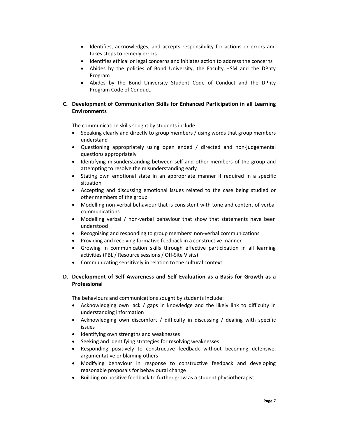- Identifies, acknowledges, and accepts responsibility for actions or errors and takes steps to remedy errors
- Identifies ethical or legal concerns and initiates action to address the concerns
- Abides by the policies of Bond University, the Faculty HSM and the DPhty Program
- Abides by the Bond University Student Code of Conduct and the DPhty Program Code of Conduct.

# **C. Development of Communication Skills for Enhanced Participation in all Learning Environments**

The communication skills sought by students include:

- Speaking clearly and directly to group members / using words that group members understand
- Questioning appropriately using open ended / directed and non-judgemental questions appropriately
- Identifying misunderstanding between self and other members of the group and attempting to resolve the misunderstanding early
- Stating own emotional state in an appropriate manner if required in a specific situation
- Accepting and discussing emotional issues related to the case being studied or other members of the group
- Modelling non-verbal behaviour that is consistent with tone and content of verbal communications
- Modelling verbal / non-verbal behaviour that show that statements have been understood
- Recognising and responding to group members' non-verbal communications
- Providing and receiving formative feedback in a constructive manner
- Growing in communication skills through effective participation in all learning activities (PBL / Resource sessions / Off-Site Visits)
- Communicating sensitively in relation to the cultural context

# **D. Development of Self Awareness and Self Evaluation as a Basis for Growth as a Professional**

The behaviours and communications sought by students include:

- Acknowledging own lack / gaps in knowledge and the likely link to difficulty in understanding information
- Acknowledging own discomfort / difficulty in discussing / dealing with specific issues
- Identifying own strengths and weaknesses
- Seeking and identifying strategies for resolving weaknesses
- Responding positively to constructive feedback without becoming defensive, argumentative or blaming others
- Modifying behaviour in response to constructive feedback and developing reasonable proposals for behavioural change
- Building on positive feedback to further grow as a student physiotherapist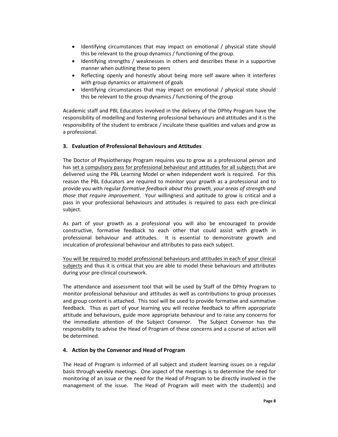- Identifying circumstances that may impact on emotional / physical state should this be relevant to the group dynamics / functioning of the group.
- Identifying strengths / weaknesses in others and describes these in a supportive manner when outlining these to peers
- x Reflecting openly and honestly about being more self aware when it interferes with group dynamics or attainment of goals
- Identifying circumstances that may impact on emotional / physical state should this be relevant to the group dynamics / functioning of the group

Academic staff and PBL Educators involved in the delivery of the DPhty Program have the responsibility of modelling and fostering professional behaviours and attitudes and it is the responsibility of the student to embrace / inculcate these qualities and values and grow as a professional.

# **3. Evaluation of Professional Behaviours and Attitudes**

The Doctor of Physiotherapy Program requires you to grow as a professional person and has set a compulsory pass for professional behaviour and attitudes for all subjects that are delivered using the PBL Learning Model or when independent work is required. For this reason the PBL Educators are required to monitor your growth as a professional and to provide you with regular *formative feedback about this growth, your areas of strength and those that require improvement*. Your willingness and aptitude to grow is critical and a pass in your professional behaviours and attitudes is required to pass each pre-clinical subject.

As part of your growth as a professional you will also be encouraged to provide constructive, formative feedback to each other that could assist with growth in professional behaviour and attitudes. It is essential to demonstrate growth and inculcation of professional behaviour and attributes to pass each subject.

You will be required to model professional behaviours and attitudes in each of your clinical subjects and thus it is critical that you are able to model these behaviours and attributes during your pre-clinical coursework.

The attendance and assessment tool that will be used by Staff of the DPhty Program to monitor professional behaviour and attitudes as well as contributions to group processes and group content is attached. This tool will be used to provide formative and summative feedback. Thus as part of your learning you will receive feedback to affirm appropriate attitude and behaviours, guide more appropriate behaviour and to raise any concerns for the immediate attention of the Subject Convenor. The Subject Convenor has the responsibility to advise the Head of Program of these concerns and a course of action will be determined.

### **4. Action by the Convenor and Head of Program**

The Head of Program is informed of all subject and student learning issues on a regular basis through weekly meetings. One aspect of the meetings is to determine the need for monitoring of an issue or the need for the Head of Program to be directly involved in the management of the issue. The Head of Program will meet with the student(s) and